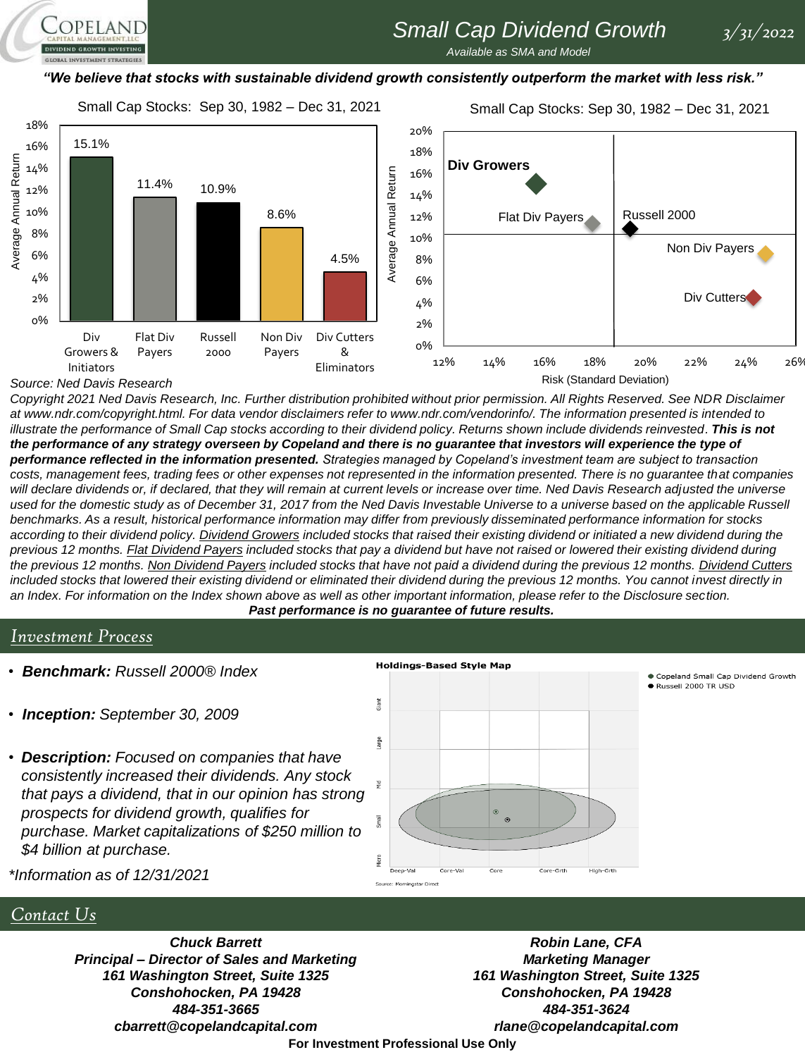# *Small Cap Dividend Growth 3/31/2022*

*Available as SMA and Model* 

#### *"We believe that stocks with sustainable dividend growth consistently outperform the market with less risk."*

Small Cap Stocks: Sep 30, 1982 – Dec 31, 2021

Small Cap Stocks: Sep 30, 1982 – Dec 31, 2021



*Source: Ned Davis Research*

OPELAND

*Copyright 2021 Ned Davis Research, Inc. Further distribution prohibited without prior permission. All Rights Reserved. See NDR Disclaimer at www.ndr.com/copyright.html. For data vendor disclaimers refer to www.ndr.com/vendorinfo/. The information presented is intended to*  illustrate the performance of Small Cap stocks according to their dividend policy. Returns shown include dividends reinvested. This is not *the performance of any strategy overseen by Copeland and there is no guarantee that investors will experience the type of performance reflected in the information presented. Strategies managed by Copeland's investment team are subject to transaction costs, management fees, trading fees or other expenses not represented in the information presented. There is no guarantee that companies will declare dividends or, if declared, that they will remain at current levels or increase over time. Ned Davis Research adjusted the universe used for the domestic study as of December 31, 2017 from the Ned Davis Investable Universe to a universe based on the applicable Russell benchmarks. As a result, historical performance information may differ from previously disseminated performance information for stocks according to their dividend policy. Dividend Growers included stocks that raised their existing dividend or initiated a new dividend during the previous 12 months. Flat Dividend Payers included stocks that pay a dividend but have not raised or lowered their existing dividend during the previous 12 months. Non Dividend Payers included stocks that have not paid a dividend during the previous 12 months. Dividend Cutters included stocks that lowered their existing dividend or eliminated their dividend during the previous 12 months. You cannot invest directly in an Index. For information on the Index shown above as well as other important information, please refer to the Disclosure section. Past performance is no guarantee of future results.*

#### *Investment Process*

- *Benchmark: Russell 2000® Index*
- *Inception: September 30, 2009*
- *Description: Focused on companies that have consistently increased their dividends. Any stock that pays a dividend, that in our opinion has strong prospects for dividend growth, qualifies for purchase. Market capitalizations of \$250 million to \$4 billion at purchase.*



Copeland Small Cap Dividend Growth Russell 2000 TR USD

*\*Information as of 12/31/2021*

#### *Contact Us*

*Chuck Barrett Principal – Director of Sales and Marketing 161 Washington Street, Suite 1325 Conshohocken, PA 19428 484-351-3665 cbarrett@copelandcapital.com*

*Robin Lane, CFA Marketing Manager 161 Washington Street, Suite 1325 Conshohocken, PA 19428 484-351-3624 rlane@copelandcapital.com*

**For Investment Professional Use Only**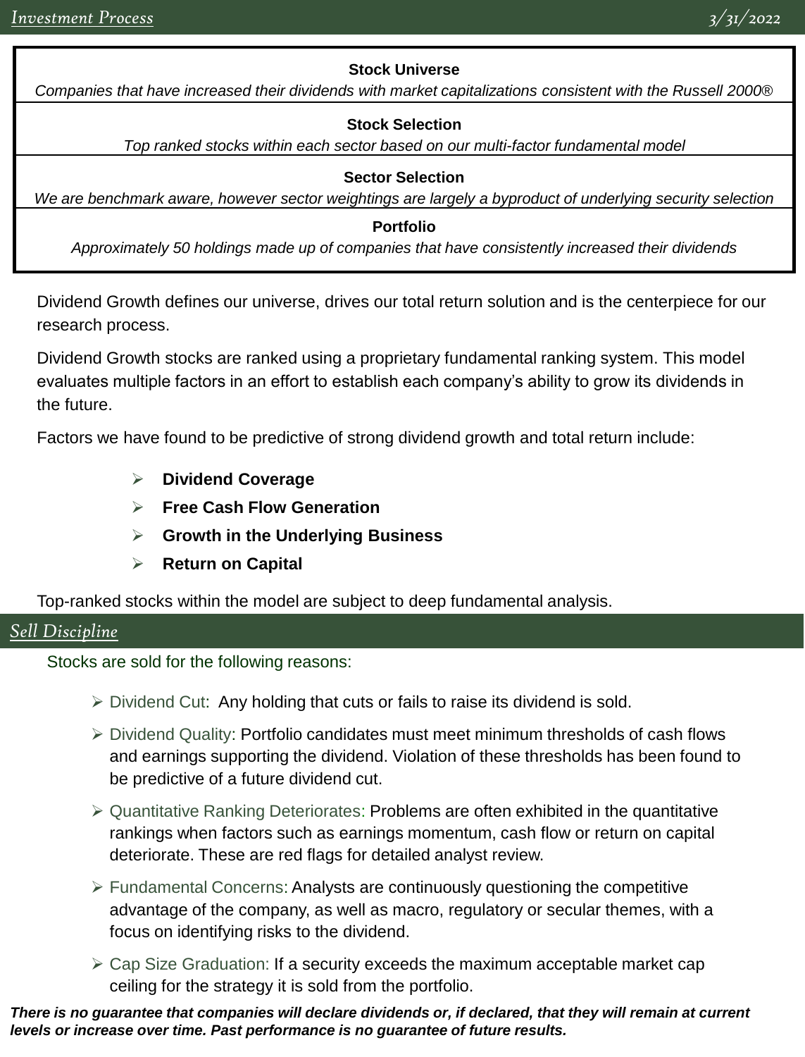### **Stock Universe**

*Companies that have increased their dividends with market capitalizations consistent with the Russell 2000®* 

### **Stock Selection**

*Top ranked stocks within each sector based on our multi-factor fundamental model*

#### **Sector Selection**

*We are benchmark aware, however sector weightings are largely a byproduct of underlying security selection*

#### **Portfolio**

*Approximately 50 holdings made up of companies that have consistently increased their dividends*

Dividend Growth defines our universe, drives our total return solution and is the centerpiece for our research process.

Dividend Growth stocks are ranked using a proprietary fundamental ranking system. This model evaluates multiple factors in an effort to establish each company's ability to grow its dividends in the future.

Factors we have found to be predictive of strong dividend growth and total return include:

- ➢ **Dividend Coverage**
- ➢ **Free Cash Flow Generation**
- ➢ **Growth in the Underlying Business**
- ➢ **Return on Capital**

Top-ranked stocks within the model are subject to deep fundamental analysis.

## *Sell Discipline*

Stocks are sold for the following reasons:

- ➢ Dividend Cut: Any holding that cuts or fails to raise its dividend is sold.
- ➢ Dividend Quality: Portfolio candidates must meet minimum thresholds of cash flows and earnings supporting the dividend. Violation of these thresholds has been found to be predictive of a future dividend cut.
- ➢ Quantitative Ranking Deteriorates: Problems are often exhibited in the quantitative rankings when factors such as earnings momentum, cash flow or return on capital deteriorate. These are red flags for detailed analyst review.
- ➢ Fundamental Concerns: Analysts are continuously questioning the competitive advantage of the company, as well as macro, regulatory or secular themes, with a focus on identifying risks to the dividend.
- $\geq$  Cap Size Graduation: If a security exceeds the maximum acceptable market cap ceiling for the strategy it is sold from the portfolio.

*There is no guarantee that companies will declare dividends or, if declared, that they will remain at current levels or increase over time. Past performance is no guarantee of future results.*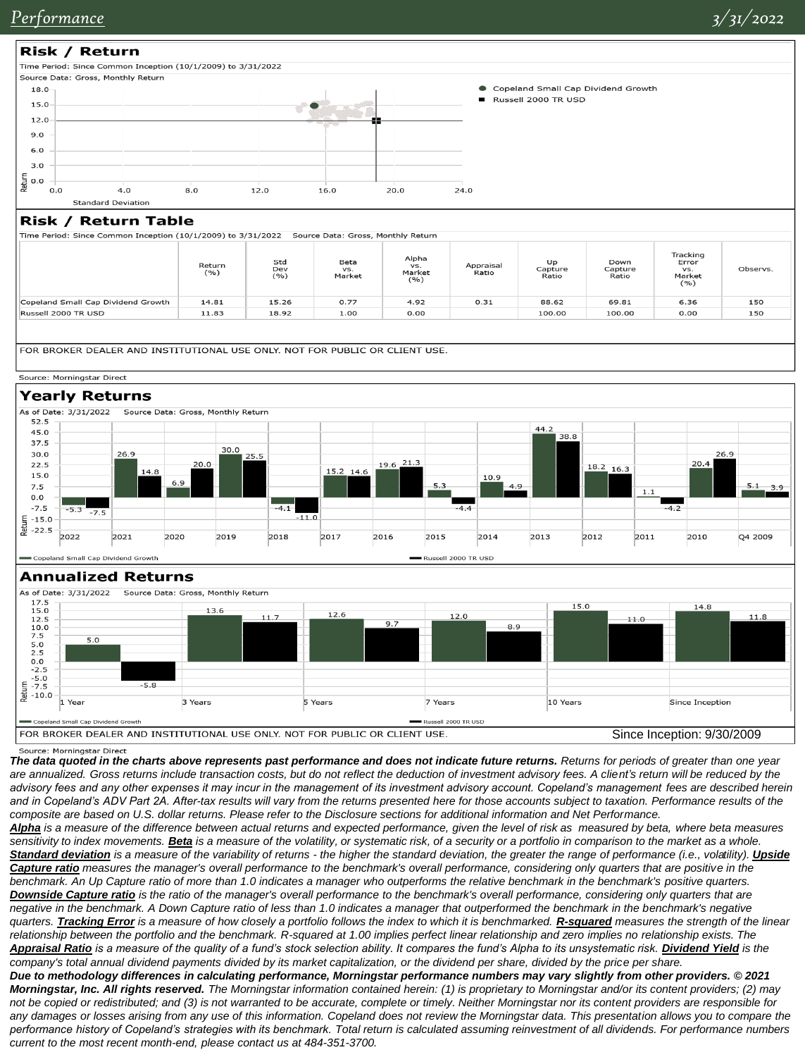

Source: Morningstar Direct

*The data quoted in the charts above represents past performance and does not indicate future returns. Returns for periods of greater than one year*  are annualized. Gross returns include transaction costs, but do not reflect the deduction of investment advisory fees. A client's return will be reduced by the *advisory fees and any other expenses it may incur in the management of its investment advisory account. Copeland's management fees are described herein and in Copeland's ADV Part 2A. After-tax results will vary from the returns presented here for those accounts subject to taxation. Performance results of the composite are based on U.S. dollar returns. Please refer to the Disclosure sections for additional information and Net Performance.* 

*Alpha is a measure of the difference between actual returns and expected performance, given the level of risk as measured by beta, where beta measures sensitivity to index movements. Beta is a measure of the volatility, or systematic risk, of a security or a portfolio in comparison to the market as a whole.*  **Standard deviation** is a measure of the variability of returns - the higher the standard deviation, the greater the range of performance (i.e., volatility). *Upside Capture ratio measures the manager's overall performance to the benchmark's overall performance, considering only quarters that are positive in the benchmark. An Up Capture ratio of more than 1.0 indicates a manager who outperforms the relative benchmark in the benchmark's positive quarters. Downside Capture ratio is the ratio of the manager's overall performance to the benchmark's overall performance, considering only quarters that are*  negative in the benchmark. A Down Capture ratio of less than 1.0 indicates a manager that outperformed the benchmark in the benchmark's negative *quarters. Tracking Error is a measure of how closely a portfolio follows the index to which it is benchmarked. R-squared measures the strength of the linear relationship between the portfolio and the benchmark. R-squared at 1.00 implies perfect linear relationship and zero implies no relationship exists. The*  Appraisal Ratio is a measure of the quality of a fund's stock selection ability. It compares the fund's Alpha to its unsystematic risk. Dividend Yield is the *company's total annual dividend payments divided by its market capitalization, or the dividend per share, divided by the price per share. Due to methodology differences in calculating performance, Morningstar performance numbers may vary slightly from other providers. © 2021* 

*Morningstar, Inc. All rights reserved. The Morningstar information contained herein: (1) is proprietary to Morningstar and/or its content providers; (2) may not be copied or redistributed; and (3) is not warranted to be accurate, complete or timely. Neither Morningstar nor its content providers are responsible for*  any damages or losses arising from any use of this information. Copeland does not review the Morningstar data. This presentation allows you to compare the *performance history of Copeland's strategies with its benchmark. Total return is calculated assuming reinvestment of all dividends. For performance numbers current to the most recent month-end, please contact us at 484-351-3700.*